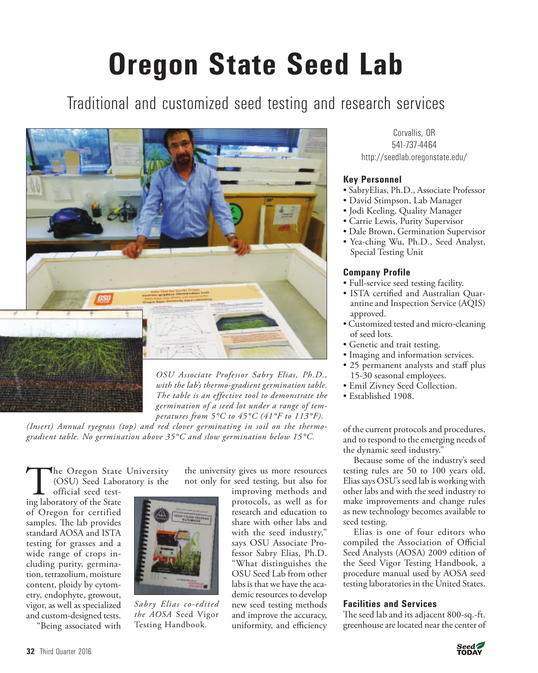# **Oregon State Seed Lab**

# Traditional and customized seed testing and research services



*OSU Associate Professor Sabry Elias, Ph.D., with the lab's thermo-gradient germination table. The table is an effective tool to demonstrate the germination of a seed lot under a range of temperatures from 5°C to 45°C (41°F to 113°F).* 

*(Insert) Annual ryegrass (top) and red clover germinating in soil on the thermogradient table. No germination above 35°C and slow germination below 15°C.*

The Oregon State University<br>(OSU) Seed Laboratory is the<br>ing laboratory of the State (OSU) Seed Laboratory is the

official seed testing laboratory of the State of Oregon for certified samples. The lab provides standard AOSA and ISTA testing for grasses and a wide range of crops including purity, germination, tetrazolium, moisture content, ploidy by cytometry, endophyte, growout, vigor, as well as specialized and custom-designed tests. "Being associated with



*Sabry Elias co-edited the AOSA* Seed Vigor Testing Handbook*.* 

the university gives us more resources not only for seed testing, but also for improving methods and

protocols, as well as for research and education to share with other labs and with the seed industry," says OSU Associate Professor Sabry Elias, Ph.D. "What distinguishes the OSU Seed Lab from other labs is that we have the academic resources to develop new seed testing methods and improve the accuracy, uniformity, and efficiency

Corvallis, OR 541-737-4464 http://seedlab.oregonstate.edu/

## **Key Personnel**

- SabryElias, Ph.D., Associate Professor
- David Stimpson, Lab Manager
- Jodi Keeling, Quality Manager
- Carrie Lewis, Purity Supervisor
- Dale Brown, Germination Supervisor
- Yea-ching Wu, Ph.D., Seed Analyst, Special Testing Unit

### **Company Profile**

- Full-service seed testing facility.
- ISTA certified and Australian Quarantine and Inspection Service (AQIS) approved.
- Customized tested and micro-cleaning of seed lots.
- Genetic and trait testing.
- Imaging and information services.
- 25 permanent analysts and staff plus 15-30 seasonal employees.
- Emil Zivney Seed Collection.
- Established 1908.

of the current protocols and procedures, and to respond to the emerging needs of the dynamic seed industry."

Because some of the industry's seed testing rules are 50 to 100 years old, Elias says OSU's seed lab is working with other labs and with the seed industry to make improvements and change rules as new technology becomes available to seed testing.

Elias is one of four editors who compiled the Association of Official Seed Analysts (AOSA) 2009 edition of the Seed Vigor Testing Handbook, a procedure manual used by AOSA seed testing laboratories in the United States.

### **Facilities and Services**

The seed lab and its adjacent 800-sq.-ft. greenhouse are located near the center of